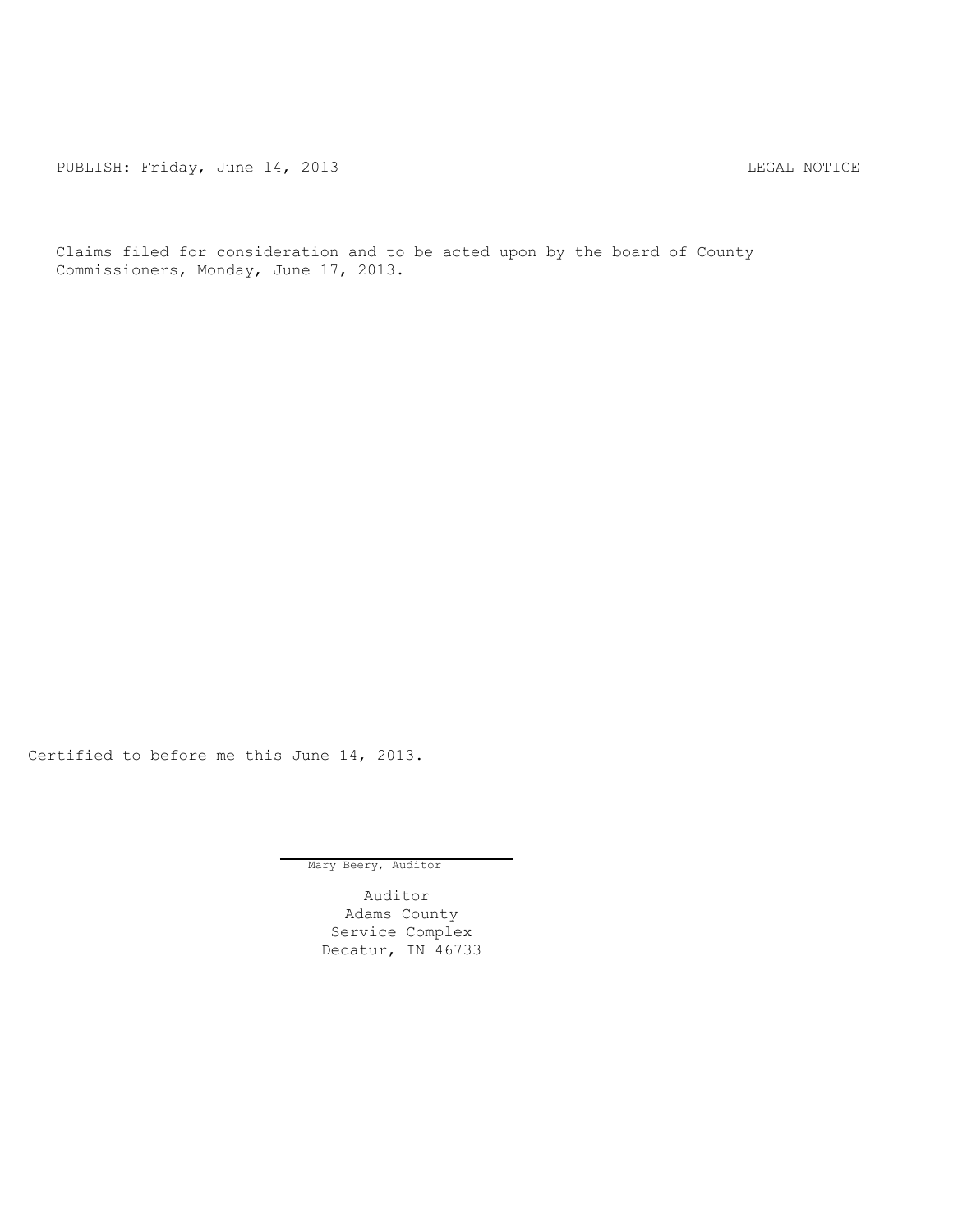PUBLISH: Friday, June 14, 2013 LEGAL NOTICE

Claims filed for consideration and to be acted upon by the board of County Commissioners, Monday, June 17, 2013.

Certified to before me this June 14, 2013.

Mary Beery, Auditor

Auditor Adams County Service Complex Decatur, IN 46733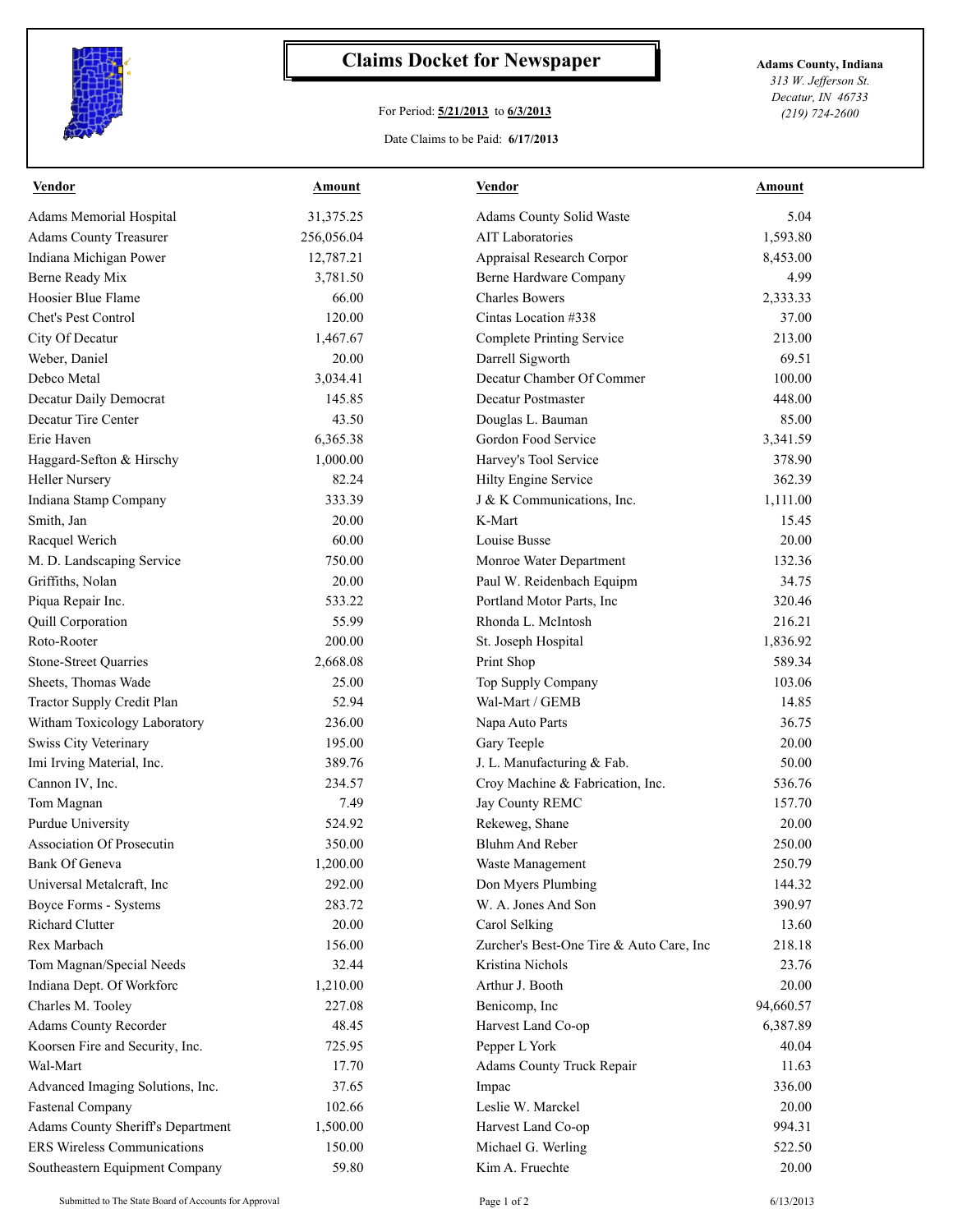

## **Claims Docket for Newspaper Adams County, Indiana**

## For Period: **5/21/2013** to **6/3/2013**

*313 W. Jefferson St. Decatur, IN 46733 (219) 724-2600*

## Date Claims to be Paid: **6/17/2013**

| <b>Vendor</b>                      | Amount     | <b>Vendor</b>                            | Amount    |
|------------------------------------|------------|------------------------------------------|-----------|
| Adams Memorial Hospital            | 31,375.25  | Adams County Solid Waste                 | 5.04      |
| <b>Adams County Treasurer</b>      | 256,056.04 | <b>AIT Laboratories</b>                  | 1,593.80  |
| Indiana Michigan Power             | 12,787.21  | Appraisal Research Corpor                | 8,453.00  |
| Berne Ready Mix                    | 3,781.50   | Berne Hardware Company                   | 4.99      |
| Hoosier Blue Flame                 | 66.00      | <b>Charles Bowers</b>                    | 2,333.33  |
| Chet's Pest Control                | 120.00     | Cintas Location #338                     | 37.00     |
| City Of Decatur                    | 1,467.67   | <b>Complete Printing Service</b>         | 213.00    |
| Weber, Daniel                      | 20.00      | Darrell Sigworth                         | 69.51     |
| Debco Metal                        | 3,034.41   | Decatur Chamber Of Commer                | 100.00    |
| Decatur Daily Democrat             | 145.85     | <b>Decatur Postmaster</b>                | 448.00    |
| Decatur Tire Center                | 43.50      | Douglas L. Bauman                        | 85.00     |
| Erie Haven                         | 6,365.38   | Gordon Food Service                      | 3,341.59  |
| Haggard-Sefton & Hirschy           | 1,000.00   | Harvey's Tool Service                    | 378.90    |
| <b>Heller Nursery</b>              | 82.24      | Hilty Engine Service                     | 362.39    |
| Indiana Stamp Company              | 333.39     | J & K Communications, Inc.               | 1,111.00  |
| Smith, Jan                         | 20.00      | K-Mart                                   | 15.45     |
| Racquel Werich                     | 60.00      | Louise Busse                             | 20.00     |
| M. D. Landscaping Service          | 750.00     | Monroe Water Department                  | 132.36    |
| Griffiths, Nolan                   | 20.00      | Paul W. Reidenbach Equipm                | 34.75     |
| Piqua Repair Inc.                  | 533.22     | Portland Motor Parts, Inc.               | 320.46    |
| Quill Corporation                  | 55.99      | Rhonda L. McIntosh                       | 216.21    |
| Roto-Rooter                        | 200.00     | St. Joseph Hospital                      | 1,836.92  |
| <b>Stone-Street Quarries</b>       | 2,668.08   | Print Shop                               | 589.34    |
| Sheets, Thomas Wade                | 25.00      | Top Supply Company                       | 103.06    |
| Tractor Supply Credit Plan         | 52.94      | Wal-Mart / GEMB                          | 14.85     |
| Witham Toxicology Laboratory       | 236.00     | Napa Auto Parts                          | 36.75     |
| Swiss City Veterinary              | 195.00     | Gary Teeple                              | 20.00     |
| Imi Irving Material, Inc.          | 389.76     | J. L. Manufacturing & Fab.               | 50.00     |
| Cannon IV, Inc.                    | 234.57     | Croy Machine & Fabrication, Inc.         | 536.76    |
| Tom Magnan                         | 7.49       | Jay County REMC                          | 157.70    |
| Purdue University                  | 524.92     | Rekeweg, Shane                           | 20.00     |
| Association Of Prosecutin          | 350.00     | <b>Bluhm And Reber</b>                   | 250.00    |
| Bank Of Geneva                     | 1,200.00   | Waste Management                         | 250.79    |
| Universal Metalcraft, Inc.         | 292.00     | Don Myers Plumbing                       | 144.32    |
| Boyce Forms - Systems              | 283.72     | W. A. Jones And Son                      | 390.97    |
| <b>Richard Clutter</b>             | 20.00      | Carol Selking                            | 13.60     |
| Rex Marbach                        | 156.00     | Zurcher's Best-One Tire & Auto Care, Inc | 218.18    |
| Tom Magnan/Special Needs           | 32.44      | Kristina Nichols                         | 23.76     |
| Indiana Dept. Of Workforc          | 1,210.00   | Arthur J. Booth                          | 20.00     |
| Charles M. Tooley                  | 227.08     | Benicomp, Inc                            | 94,660.57 |
| Adams County Recorder              | 48.45      | Harvest Land Co-op                       | 6,387.89  |
| Koorsen Fire and Security, Inc.    | 725.95     | Pepper L York                            | 40.04     |
| Wal-Mart                           | 17.70      | <b>Adams County Truck Repair</b>         | 11.63     |
| Advanced Imaging Solutions, Inc.   | 37.65      | Impac                                    | 336.00    |
| <b>Fastenal Company</b>            | 102.66     | Leslie W. Marckel                        | 20.00     |
| Adams County Sheriff's Department  | 1,500.00   | Harvest Land Co-op                       | 994.31    |
| <b>ERS Wireless Communications</b> | 150.00     | Michael G. Werling                       | 522.50    |
| Southeastern Equipment Company     | 59.80      | Kim A. Fruechte                          | 20.00     |